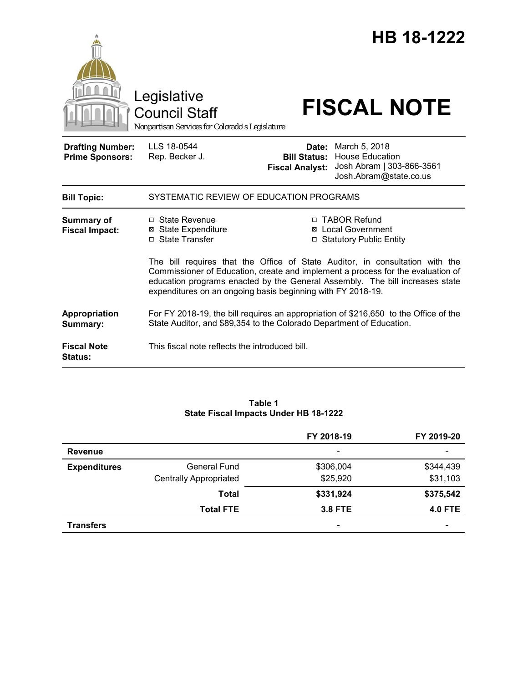

#### **Table 1 State Fiscal Impacts Under HB 18-1222**

|                     |                               | FY 2018-19               | FY 2019-20     |
|---------------------|-------------------------------|--------------------------|----------------|
| <b>Revenue</b>      |                               | $\overline{\phantom{0}}$ |                |
| <b>Expenditures</b> | <b>General Fund</b>           | \$306,004                | \$344,439      |
|                     | <b>Centrally Appropriated</b> | \$25,920                 | \$31,103       |
|                     | <b>Total</b>                  | \$331,924                | \$375,542      |
|                     | <b>Total FTE</b>              | <b>3.8 FTE</b>           | <b>4.0 FTE</b> |
| <b>Transfers</b>    |                               | $\overline{\phantom{a}}$ |                |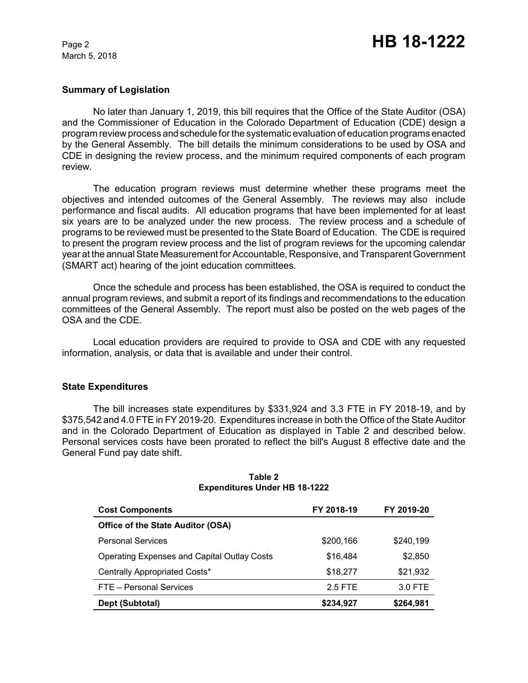March 5, 2018

## **Summary of Legislation**

No later than January 1, 2019, this bill requires that the Office of the State Auditor (OSA) and the Commissioner of Education in the Colorado Department of Education (CDE) design a program review process and schedule for the systematic evaluation of education programs enacted by the General Assembly. The bill details the minimum considerations to be used by OSA and CDE in designing the review process, and the minimum required components of each program review.

The education program reviews must determine whether these programs meet the objectives and intended outcomes of the General Assembly. The reviews may also include performance and fiscal audits. All education programs that have been implemented for at least six years are to be analyzed under the new process. The review process and a schedule of programs to be reviewed must be presented to the State Board of Education. The CDE is required to present the program review process and the list of program reviews for the upcoming calendar year at the annual State Measurement for Accountable, Responsive, and Transparent Government (SMART act) hearing of the joint education committees.

Once the schedule and process has been established, the OSA is required to conduct the annual program reviews, and submit a report of its findings and recommendations to the education committees of the General Assembly. The report must also be posted on the web pages of the OSA and the CDE.

Local education providers are required to provide to OSA and CDE with any requested information, analysis, or data that is available and under their control.

## **State Expenditures**

The bill increases state expenditures by \$331,924 and 3.3 FTE in FY 2018-19, and by \$375,542 and 4.0 FTE in FY 2019-20. Expenditures increase in both the Office of the State Auditor and in the Colorado Department of Education as displayed in Table 2 and described below. Personal services costs have been prorated to reflect the bill's August 8 effective date and the General Fund pay date shift.

| <b>Cost Components</b>                             | FY 2018-19 | FY 2019-20 |
|----------------------------------------------------|------------|------------|
| <b>Office of the State Auditor (OSA)</b>           |            |            |
| <b>Personal Services</b>                           | \$200,166  | \$240,199  |
| <b>Operating Expenses and Capital Outlay Costs</b> | \$16,484   | \$2,850    |
| Centrally Appropriated Costs*                      | \$18,277   | \$21,932   |
| FTE - Personal Services                            | 2.5 FTE    | 3.0 FTE    |
| Dept (Subtotal)                                    | \$234,927  | \$264,981  |

#### **Table 2 Expenditures Under HB 18-1222**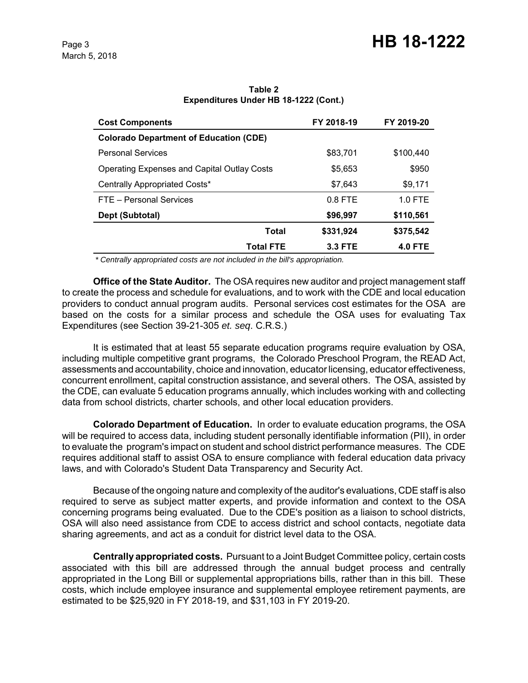| <b>Cost Components</b>                             | FY 2018-19     | FY 2019-20     |
|----------------------------------------------------|----------------|----------------|
| <b>Colorado Department of Education (CDE)</b>      |                |                |
| <b>Personal Services</b>                           | \$83,701       | \$100,440      |
| <b>Operating Expenses and Capital Outlay Costs</b> | \$5,653        | \$950          |
| Centrally Appropriated Costs*                      | \$7,643        | \$9,171        |
| FTE - Personal Services                            | $0.8$ FTE      | $1.0$ FTE      |
| Dept (Subtotal)                                    | \$96,997       | \$110,561      |
| Total                                              | \$331,924      | \$375,542      |
| <b>Total FTE</b>                                   | <b>3.3 FTE</b> | <b>4.0 FTE</b> |

**Table 2 Expenditures Under HB 18-1222 (Cont.)**

 *\* Centrally appropriated costs are not included in the bill's appropriation.*

**Office of the State Auditor.** The OSA requires new auditor and project management staff to create the process and schedule for evaluations, and to work with the CDE and local education providers to conduct annual program audits. Personal services cost estimates for the OSA are based on the costs for a similar process and schedule the OSA uses for evaluating Tax Expenditures (see Section 39-21-305 *et. seq*. C.R.S.)

It is estimated that at least 55 separate education programs require evaluation by OSA, including multiple competitive grant programs, the Colorado Preschool Program, the READ Act, assessments and accountability, choice and innovation, educator licensing, educator effectiveness, concurrent enrollment, capital construction assistance, and several others. The OSA, assisted by the CDE, can evaluate 5 education programs annually, which includes working with and collecting data from school districts, charter schools, and other local education providers.

**Colorado Department of Education.** In order to evaluate education programs, the OSA will be required to access data, including student personally identifiable information (PII), in order to evaluate the program's impact on student and school district performance measures. The CDE requires additional staff to assist OSA to ensure compliance with federal education data privacy laws, and with Colorado's Student Data Transparency and Security Act.

Because of the ongoing nature and complexity of the auditor's evaluations, CDE staff is also required to serve as subject matter experts, and provide information and context to the OSA concerning programs being evaluated. Due to the CDE's position as a liaison to school districts, OSA will also need assistance from CDE to access district and school contacts, negotiate data sharing agreements, and act as a conduit for district level data to the OSA.

**Centrally appropriated costs.** Pursuant to a Joint Budget Committee policy, certain costs associated with this bill are addressed through the annual budget process and centrally appropriated in the Long Bill or supplemental appropriations bills, rather than in this bill. These costs, which include employee insurance and supplemental employee retirement payments, are estimated to be \$25,920 in FY 2018-19, and \$31,103 in FY 2019-20.